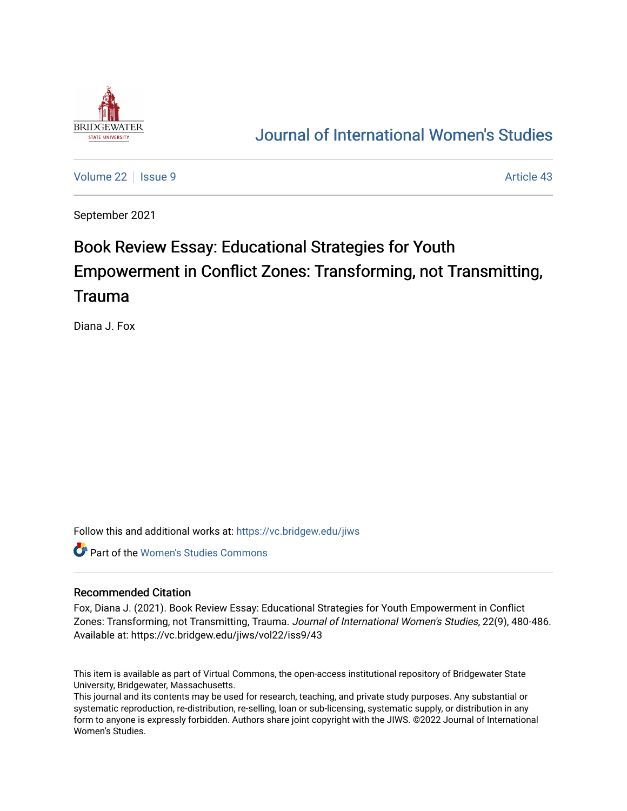

## [Journal of International Women's Studies](https://vc.bridgew.edu/jiws)

[Volume 22](https://vc.bridgew.edu/jiws/vol22) | [Issue 9](https://vc.bridgew.edu/jiws/vol22/iss9) Article 43

September 2021

# Book Review Essay: Educational Strategies for Youth Empowerment in Conflict Zones: Transforming, not Transmitting, Trauma

Diana J. Fox

Follow this and additional works at: [https://vc.bridgew.edu/jiws](https://vc.bridgew.edu/jiws?utm_source=vc.bridgew.edu%2Fjiws%2Fvol22%2Fiss9%2F43&utm_medium=PDF&utm_campaign=PDFCoverPages)

**C** Part of the Women's Studies Commons

#### Recommended Citation

Fox, Diana J. (2021). Book Review Essay: Educational Strategies for Youth Empowerment in Conflict Zones: Transforming, not Transmitting, Trauma. Journal of International Women's Studies, 22(9), 480-486. Available at: https://vc.bridgew.edu/jiws/vol22/iss9/43

This item is available as part of Virtual Commons, the open-access institutional repository of Bridgewater State University, Bridgewater, Massachusetts.

This journal and its contents may be used for research, teaching, and private study purposes. Any substantial or systematic reproduction, re-distribution, re-selling, loan or sub-licensing, systematic supply, or distribution in any form to anyone is expressly forbidden. Authors share joint copyright with the JIWS. ©2022 Journal of International Women's Studies.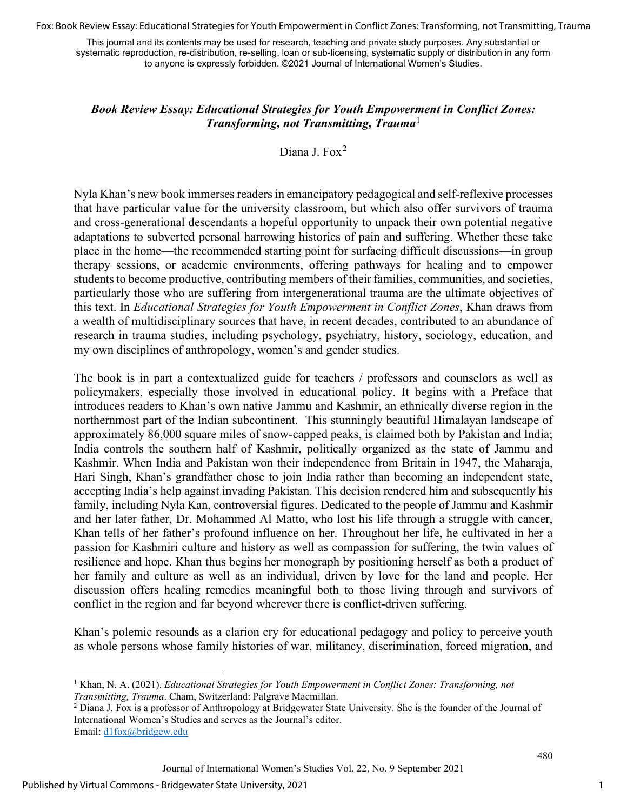Fox: Book Review Essay: Educational Strategies for Youth Empowerment in Conflict Zones: Transforming, not Transmitting, Trauma

This journal and its contents may be used for research, teaching and private study purposes. Any substantial or systematic reproduction, re-distribution, re-selling, loan or sub-licensing, systematic supply or distribution in any form to anyone is expressly forbidden. ©2021 Journal of International Women's Studies.

### *Book Review Essay: Educational Strategies for Youth Empowerment in Conflict Zones: Transforming, not Transmitting, Trauma*<sup>[1](#page-1-0)</sup>

Diana J. Fox<sup>[2](#page-1-1)</sup>

Nyla Khan's new book immerses readers in emancipatory pedagogical and self-reflexive processes that have particular value for the university classroom, but which also offer survivors of trauma and cross-generational descendants a hopeful opportunity to unpack their own potential negative adaptations to subverted personal harrowing histories of pain and suffering. Whether these take place in the home—the recommended starting point for surfacing difficult discussions—in group therapy sessions, or academic environments, offering pathways for healing and to empower students to become productive, contributing members of their families, communities, and societies, particularly those who are suffering from intergenerational trauma are the ultimate objectives of this text. In *Educational Strategies for Youth Empowerment in Conflict Zones*, Khan draws from a wealth of multidisciplinary sources that have, in recent decades, contributed to an abundance of research in trauma studies, including psychology, psychiatry, history, sociology, education, and my own disciplines of anthropology, women's and gender studies.

The book is in part a contextualized guide for teachers / professors and counselors as well as policymakers, especially those involved in educational policy. It begins with a Preface that introduces readers to Khan's own native Jammu and Kashmir, an ethnically diverse region in the northernmost part of the Indian subcontinent. This stunningly beautiful Himalayan landscape of approximately 86,000 square miles of snow-capped peaks, is claimed both by Pakistan and India; India controls the southern half of Kashmir, politically organized as the state of Jammu and Kashmir. When India and Pakistan won their independence from Britain in 1947, the Maharaja, Hari Singh, Khan's grandfather chose to join India rather than becoming an independent state, accepting India's help against invading Pakistan. This decision rendered him and subsequently his family, including Nyla Kan, controversial figures. Dedicated to the people of Jammu and Kashmir and her later father, Dr. Mohammed Al Matto, who lost his life through a struggle with cancer, Khan tells of her father's profound influence on her. Throughout her life, he cultivated in her a passion for Kashmiri culture and history as well as compassion for suffering, the twin values of resilience and hope. Khan thus begins her monograph by positioning herself as both a product of her family and culture as well as an individual, driven by love for the land and people. Her discussion offers healing remedies meaningful both to those living through and survivors of conflict in the region and far beyond wherever there is conflict-driven suffering.

Khan's polemic resounds as a clarion cry for educational pedagogy and policy to perceive youth as whole persons whose family histories of war, militancy, discrimination, forced migration, and

<span id="page-1-0"></span><sup>1</sup> Khan, N. A. (2021). *Educational Strategies for Youth Empowerment in Conflict Zones: Transforming, not Transmitting, Trauma*. Cham, Switzerland: Palgrave Macmillan.<br><sup>2</sup> Diana J. Fox is a professor of Anthropology at Bridgewater State University. She is the founder of the Journal of

<span id="page-1-1"></span>International Women's Studies and serves as the Journal's editor. Email: [d1fox@bridgew.edu](mailto:d1fox@bridgew.edu) 

Journal of International Women's Studies Vol. 22, No. 9 September 2021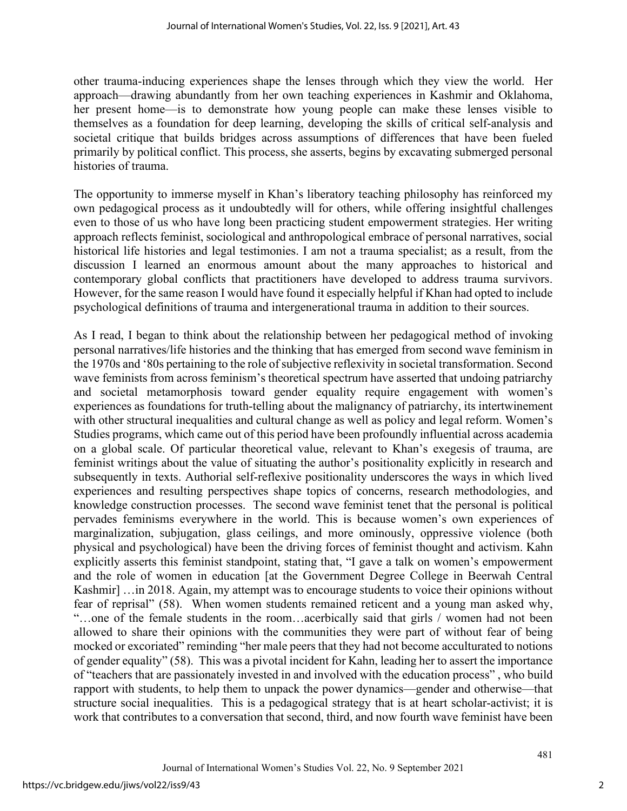other trauma-inducing experiences shape the lenses through which they view the world. Her approach—drawing abundantly from her own teaching experiences in Kashmir and Oklahoma, her present home—is to demonstrate how young people can make these lenses visible to themselves as a foundation for deep learning, developing the skills of critical self-analysis and societal critique that builds bridges across assumptions of differences that have been fueled primarily by political conflict. This process, she asserts, begins by excavating submerged personal histories of trauma.

The opportunity to immerse myself in Khan's liberatory teaching philosophy has reinforced my own pedagogical process as it undoubtedly will for others, while offering insightful challenges even to those of us who have long been practicing student empowerment strategies. Her writing approach reflects feminist, sociological and anthropological embrace of personal narratives, social historical life histories and legal testimonies. I am not a trauma specialist; as a result, from the discussion I learned an enormous amount about the many approaches to historical and contemporary global conflicts that practitioners have developed to address trauma survivors. However, for the same reason I would have found it especially helpful if Khan had opted to include psychological definitions of trauma and intergenerational trauma in addition to their sources.

As I read, I began to think about the relationship between her pedagogical method of invoking personal narratives/life histories and the thinking that has emerged from second wave feminism in the 1970s and '80s pertaining to the role of subjective reflexivity in societal transformation. Second wave feminists from across feminism's theoretical spectrum have asserted that undoing patriarchy and societal metamorphosis toward gender equality require engagement with women's experiences as foundations for truth-telling about the malignancy of patriarchy, its intertwinement with other structural inequalities and cultural change as well as policy and legal reform. Women's Studies programs, which came out of this period have been profoundly influential across academia on a global scale. Of particular theoretical value, relevant to Khan's exegesis of trauma, are feminist writings about the value of situating the author's positionality explicitly in research and subsequently in texts. Authorial self-reflexive positionality underscores the ways in which lived experiences and resulting perspectives shape topics of concerns, research methodologies, and knowledge construction processes. The second wave feminist tenet that the personal is political pervades feminisms everywhere in the world. This is because women's own experiences of marginalization, subjugation, glass ceilings, and more ominously, oppressive violence (both physical and psychological) have been the driving forces of feminist thought and activism. Kahn explicitly asserts this feminist standpoint, stating that, "I gave a talk on women's empowerment and the role of women in education [at the Government Degree College in Beerwah Central Kashmir] …in 2018. Again, my attempt was to encourage students to voice their opinions without fear of reprisal" (58). When women students remained reticent and a young man asked why, "…one of the female students in the room…acerbically said that girls / women had not been allowed to share their opinions with the communities they were part of without fear of being mocked or excoriated" reminding "her male peers that they had not become acculturated to notions of gender equality" (58). This was a pivotal incident for Kahn, leading her to assert the importance of "teachers that are passionately invested in and involved with the education process" , who build rapport with students, to help them to unpack the power dynamics—gender and otherwise—that structure social inequalities. This is a pedagogical strategy that is at heart scholar-activist; it is work that contributes to a conversation that second, third, and now fourth wave feminist have been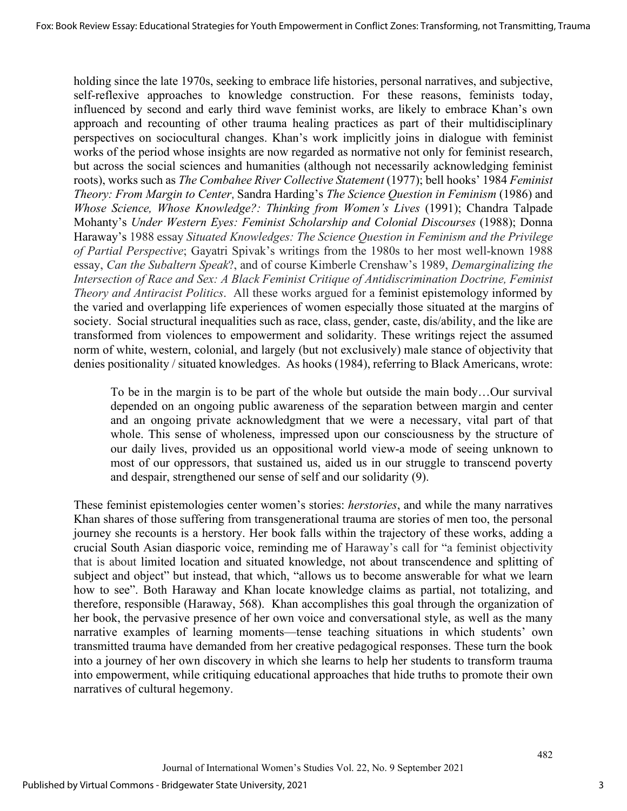holding since the late 1970s, seeking to embrace life histories, personal narratives, and subjective, self-reflexive approaches to knowledge construction. For these reasons, feminists today, influenced by second and early third wave feminist works, are likely to embrace Khan's own approach and recounting of other trauma healing practices as part of their multidisciplinary perspectives on sociocultural changes. Khan's work implicitly joins in dialogue with feminist works of the period whose insights are now regarded as normative not only for feminist research, but across the social sciences and humanities (although not necessarily acknowledging feminist roots), works such as *The Combahee River Collective Statement* (1977); bell hooks' 1984 *Feminist Theory: From Margin to Center*, Sandra Harding's *The Science Question in Feminism* (1986) and *Whose Science, Whose Knowledge?: Thinking from Women's Lives* (1991); Chandra Talpade Mohanty's *Under Western Eyes: Feminist Scholarship and Colonial Discourses* (1988); Donna Haraway's 1988 essay *Situated Knowledges: The Science Question in Feminism and the Privilege of Partial Perspective*; Gayatri Spivak's writings from the 1980s to her most well-known 1988 essay, *Can the Subaltern Speak*?, and of course Kimberle Crenshaw's 1989, *Demarginalizing the Intersection of Race and Sex: A Black Feminist Critique of Antidiscrimination Doctrine, Feminist Theory and Antiracist Politics*. All these works argued for a feminist epistemology informed by the varied and overlapping life experiences of women especially those situated at the margins of society. Social structural inequalities such as race, class, gender, caste, dis/ability, and the like are transformed from violences to empowerment and solidarity. These writings reject the assumed norm of white, western, colonial, and largely (but not exclusively) male stance of objectivity that denies positionality / situated knowledges. As hooks (1984), referring to Black Americans, wrote:

To be in the margin is to be part of the whole but outside the main body…Our survival depended on an ongoing public awareness of the separation between margin and center and an ongoing private acknowledgment that we were a necessary, vital part of that whole. This sense of wholeness, impressed upon our consciousness by the structure of our daily lives, provided us an oppositional world view-a mode of seeing unknown to most of our oppressors, that sustained us, aided us in our struggle to transcend poverty and despair, strengthened our sense of self and our solidarity (9).

These feminist epistemologies center women's stories: *herstories*, and while the many narratives Khan shares of those suffering from transgenerational trauma are stories of men too, the personal journey she recounts is a herstory. Her book falls within the trajectory of these works, adding a crucial South Asian diasporic voice, reminding me of Haraway's call for "a feminist objectivity that is about limited location and situated knowledge, not about transcendence and splitting of subject and object" but instead, that which, "allows us to become answerable for what we learn how to see". Both Haraway and Khan locate knowledge claims as partial, not totalizing, and therefore, responsible (Haraway, 568). Khan accomplishes this goal through the organization of her book, the pervasive presence of her own voice and conversational style, as well as the many narrative examples of learning moments—tense teaching situations in which students' own transmitted trauma have demanded from her creative pedagogical responses. These turn the book into a journey of her own discovery in which she learns to help her students to transform trauma into empowerment, while critiquing educational approaches that hide truths to promote their own narratives of cultural hegemony.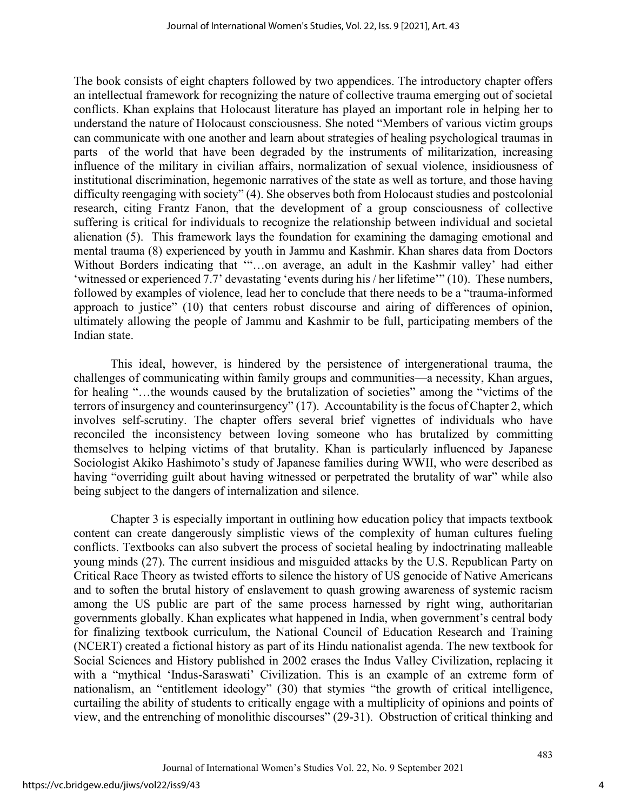The book consists of eight chapters followed by two appendices. The introductory chapter offers an intellectual framework for recognizing the nature of collective trauma emerging out of societal conflicts. Khan explains that Holocaust literature has played an important role in helping her to understand the nature of Holocaust consciousness. She noted "Members of various victim groups can communicate with one another and learn about strategies of healing psychological traumas in parts of the world that have been degraded by the instruments of militarization, increasing influence of the military in civilian affairs, normalization of sexual violence, insidiousness of institutional discrimination, hegemonic narratives of the state as well as torture, and those having difficulty reengaging with society" (4). She observes both from Holocaust studies and postcolonial research, citing Frantz Fanon, that the development of a group consciousness of collective suffering is critical for individuals to recognize the relationship between individual and societal alienation (5). This framework lays the foundation for examining the damaging emotional and mental trauma (8) experienced by youth in Jammu and Kashmir. Khan shares data from Doctors Without Borders indicating that '"…on average, an adult in the Kashmir valley' had either 'witnessed or experienced 7.7' devastating 'events during his / her lifetime'" (10). These numbers, followed by examples of violence, lead her to conclude that there needs to be a "trauma-informed approach to justice" (10) that centers robust discourse and airing of differences of opinion, ultimately allowing the people of Jammu and Kashmir to be full, participating members of the Indian state.

This ideal, however, is hindered by the persistence of intergenerational trauma, the challenges of communicating within family groups and communities—a necessity, Khan argues, for healing "…the wounds caused by the brutalization of societies" among the "victims of the terrors of insurgency and counterinsurgency" (17). Accountability is the focus of Chapter 2, which involves self-scrutiny. The chapter offers several brief vignettes of individuals who have reconciled the inconsistency between loving someone who has brutalized by committing themselves to helping victims of that brutality. Khan is particularly influenced by Japanese Sociologist Akiko Hashimoto's study of Japanese families during WWII, who were described as having "overriding guilt about having witnessed or perpetrated the brutality of war" while also being subject to the dangers of internalization and silence.

Chapter 3 is especially important in outlining how education policy that impacts textbook content can create dangerously simplistic views of the complexity of human cultures fueling conflicts. Textbooks can also subvert the process of societal healing by indoctrinating malleable young minds (27). The current insidious and misguided attacks by the U.S. Republican Party on Critical Race Theory as twisted efforts to silence the history of US genocide of Native Americans and to soften the brutal history of enslavement to quash growing awareness of systemic racism among the US public are part of the same process harnessed by right wing, authoritarian governments globally. Khan explicates what happened in India, when government's central body for finalizing textbook curriculum, the National Council of Education Research and Training (NCERT) created a fictional history as part of its Hindu nationalist agenda. The new textbook for Social Sciences and History published in 2002 erases the Indus Valley Civilization, replacing it with a "mythical 'Indus-Saraswati' Civilization. This is an example of an extreme form of nationalism, an "entitlement ideology" (30) that stymies "the growth of critical intelligence, curtailing the ability of students to critically engage with a multiplicity of opinions and points of view, and the entrenching of monolithic discourses" (29-31). Obstruction of critical thinking and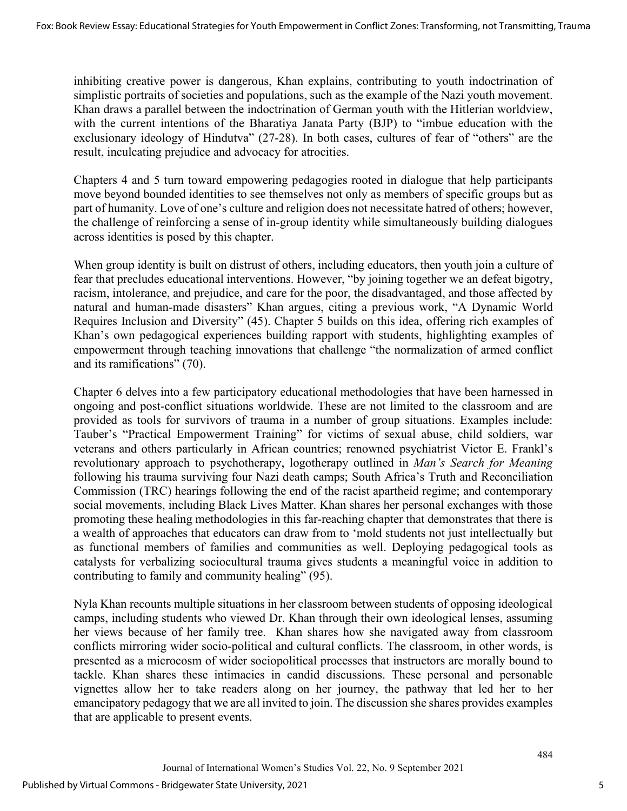inhibiting creative power is dangerous, Khan explains, contributing to youth indoctrination of simplistic portraits of societies and populations, such as the example of the Nazi youth movement. Khan draws a parallel between the indoctrination of German youth with the Hitlerian worldview, with the current intentions of the Bharatiya Janata Party (BJP) to "imbue education with the exclusionary ideology of Hindutva" (27-28). In both cases, cultures of fear of "others" are the result, inculcating prejudice and advocacy for atrocities.

Chapters 4 and 5 turn toward empowering pedagogies rooted in dialogue that help participants move beyond bounded identities to see themselves not only as members of specific groups but as part of humanity. Love of one's culture and religion does not necessitate hatred of others; however, the challenge of reinforcing a sense of in-group identity while simultaneously building dialogues across identities is posed by this chapter.

When group identity is built on distrust of others, including educators, then youth join a culture of fear that precludes educational interventions. However, "by joining together we an defeat bigotry, racism, intolerance, and prejudice, and care for the poor, the disadvantaged, and those affected by natural and human-made disasters" Khan argues, citing a previous work, "A Dynamic World Requires Inclusion and Diversity" (45). Chapter 5 builds on this idea, offering rich examples of Khan's own pedagogical experiences building rapport with students, highlighting examples of empowerment through teaching innovations that challenge "the normalization of armed conflict and its ramifications" (70).

Chapter 6 delves into a few participatory educational methodologies that have been harnessed in ongoing and post-conflict situations worldwide. These are not limited to the classroom and are provided as tools for survivors of trauma in a number of group situations. Examples include: Tauber's "Practical Empowerment Training" for victims of sexual abuse, child soldiers, war veterans and others particularly in African countries; renowned psychiatrist Victor E. Frankl's revolutionary approach to psychotherapy, logotherapy outlined in *Man's Search for Meaning*  following his trauma surviving four Nazi death camps; South Africa's Truth and Reconciliation Commission (TRC) hearings following the end of the racist apartheid regime; and contemporary social movements, including Black Lives Matter. Khan shares her personal exchanges with those promoting these healing methodologies in this far-reaching chapter that demonstrates that there is a wealth of approaches that educators can draw from to 'mold students not just intellectually but as functional members of families and communities as well. Deploying pedagogical tools as catalysts for verbalizing sociocultural trauma gives students a meaningful voice in addition to contributing to family and community healing" (95).

Nyla Khan recounts multiple situations in her classroom between students of opposing ideological camps, including students who viewed Dr. Khan through their own ideological lenses, assuming her views because of her family tree. Khan shares how she navigated away from classroom conflicts mirroring wider socio-political and cultural conflicts. The classroom, in other words, is presented as a microcosm of wider sociopolitical processes that instructors are morally bound to tackle. Khan shares these intimacies in candid discussions. These personal and personable vignettes allow her to take readers along on her journey, the pathway that led her to her emancipatory pedagogy that we are all invited to join. The discussion she shares provides examples that are applicable to present events.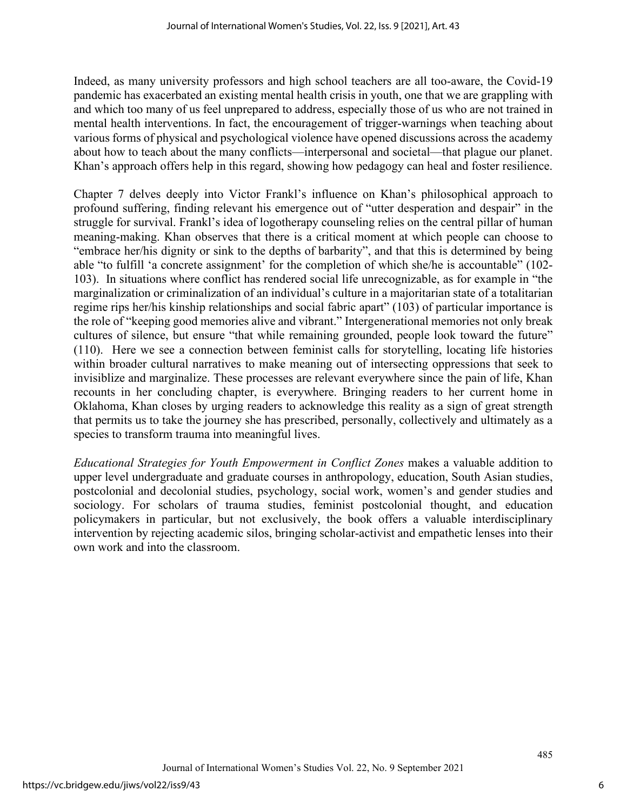Indeed, as many university professors and high school teachers are all too-aware, the Covid-19 pandemic has exacerbated an existing mental health crisis in youth, one that we are grappling with and which too many of us feel unprepared to address, especially those of us who are not trained in mental health interventions. In fact, the encouragement of trigger-warnings when teaching about various forms of physical and psychological violence have opened discussions across the academy about how to teach about the many conflicts—interpersonal and societal—that plague our planet. Khan's approach offers help in this regard, showing how pedagogy can heal and foster resilience.

Chapter 7 delves deeply into Victor Frankl's influence on Khan's philosophical approach to profound suffering, finding relevant his emergence out of "utter desperation and despair" in the struggle for survival. Frankl's idea of logotherapy counseling relies on the central pillar of human meaning-making. Khan observes that there is a critical moment at which people can choose to "embrace her/his dignity or sink to the depths of barbarity", and that this is determined by being able "to fulfill 'a concrete assignment' for the completion of which she/he is accountable" (102- 103). In situations where conflict has rendered social life unrecognizable, as for example in "the marginalization or criminalization of an individual's culture in a majoritarian state of a totalitarian regime rips her/his kinship relationships and social fabric apart" (103) of particular importance is the role of "keeping good memories alive and vibrant." Intergenerational memories not only break cultures of silence, but ensure "that while remaining grounded, people look toward the future" (110). Here we see a connection between feminist calls for storytelling, locating life histories within broader cultural narratives to make meaning out of intersecting oppressions that seek to invisiblize and marginalize. These processes are relevant everywhere since the pain of life, Khan recounts in her concluding chapter, is everywhere. Bringing readers to her current home in Oklahoma, Khan closes by urging readers to acknowledge this reality as a sign of great strength that permits us to take the journey she has prescribed, personally, collectively and ultimately as a species to transform trauma into meaningful lives.

*Educational Strategies for Youth Empowerment in Conflict Zones* makes a valuable addition to upper level undergraduate and graduate courses in anthropology, education, South Asian studies, postcolonial and decolonial studies, psychology, social work, women's and gender studies and sociology. For scholars of trauma studies, feminist postcolonial thought, and education policymakers in particular, but not exclusively, the book offers a valuable interdisciplinary intervention by rejecting academic silos, bringing scholar-activist and empathetic lenses into their own work and into the classroom.